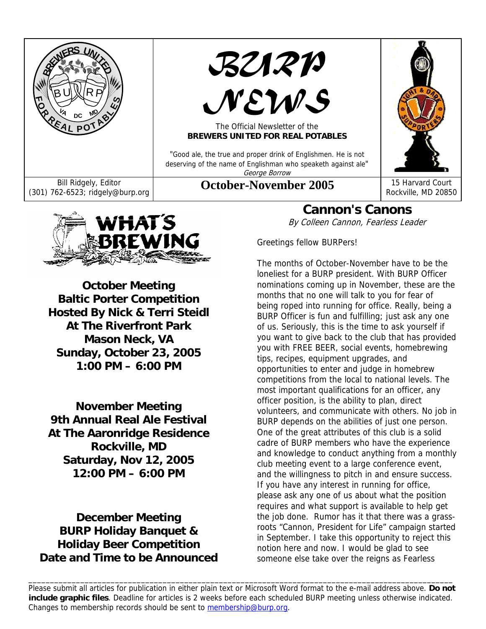

*BURP* 

# *NEWS*

#### The Official Newsletter of the **BREWERS UNITED FOR REAL POTABLES**

"Good ale, the true and proper drink of Englishmen. He is not deserving of the name of Englishman who speaketh against ale" George Borrow



Rockville, MD 20850



**October Meeting Baltic Porter Competition Hosted By Nick & Terri Steidl At The Riverfront Park Mason Neck, VA Sunday, October 23, 2005 1:00 PM – 6:00 PM** 

**November Meeting 9th Annual Real Ale Festival At The Aaronridge Residence Rockville, MD Saturday, Nov 12, 2005 12:00 PM – 6:00 PM** 

**December Meeting BURP Holiday Banquet & Holiday Beer Competition Date and Time to be Announced** 

## **Cannon's Canons**

By Colleen Cannon, Fearless Leader

Greetings fellow BURPers!

The months of October-November have to be the loneliest for a BURP president. With BURP Officer nominations coming up in November, these are the months that no one will talk to you for fear of being roped into running for office. Really, being a BURP Officer is fun and fulfilling; just ask any one of us. Seriously, this is the time to ask yourself if you want to give back to the club that has provided you with FREE BEER, social events, homebrewing tips, recipes, equipment upgrades, and opportunities to enter and judge in homebrew competitions from the local to national levels. The most important qualifications for an officer, any officer position, is the ability to plan, direct volunteers, and communicate with others. No job in BURP depends on the abilities of just one person. One of the great attributes of this club is a solid cadre of BURP members who have the experience and knowledge to conduct anything from a monthly club meeting event to a large conference event, and the willingness to pitch in and ensure success. If you have any interest in running for office, please ask any one of us about what the position requires and what support is available to help get the job done. Rumor has it that there was a grassroots "Cannon, President for Life" campaign started in September. I take this opportunity to reject this notion here and now. I would be glad to see someone else take over the reigns as Fearless

Please submit all articles for publication in either plain text or Microsoft Word format to the e-mail address above. **Do not include graphic files**. Deadline for articles is 2 weeks before each scheduled BURP meeting unless otherwise indicated. Changes to membership records should be sent to membership@burp.org.

\_\_\_\_\_\_\_\_\_\_\_\_\_\_\_\_\_\_\_\_\_\_\_\_\_\_\_\_\_\_\_\_\_\_\_\_\_\_\_\_\_\_\_\_\_\_\_\_\_\_\_\_\_\_\_\_\_\_\_\_\_\_\_\_\_\_\_\_\_\_\_\_\_\_\_\_\_\_\_\_\_\_\_\_\_\_\_\_\_\_\_\_\_\_\_\_\_\_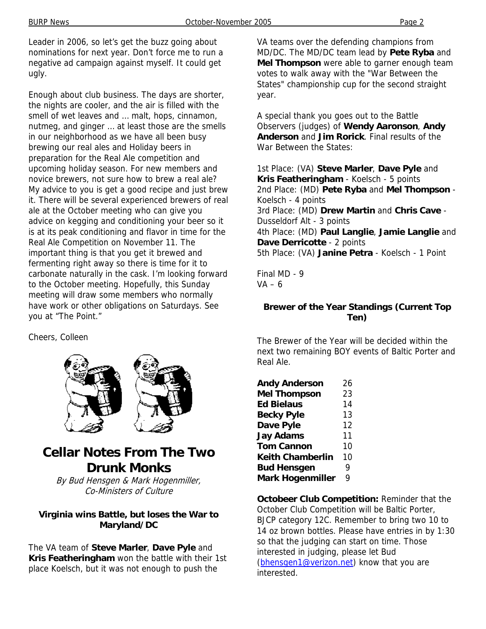Leader in 2006, so let's get the buzz going about nominations for next year. Don't force me to run a negative ad campaign against myself. It could get ugly.

Enough about club business. The days are shorter, the nights are cooler, and the air is filled with the smell of wet leaves and … malt, hops, cinnamon, nutmeg, and ginger … at least those are the smells in our neighborhood as we have all been busy brewing our real ales and Holiday beers in preparation for the Real Ale competition and upcoming holiday season. For new members and novice brewers, not sure how to brew a real ale? My advice to you is get a good recipe and just brew it. There will be several experienced brewers of real ale at the October meeting who can give you advice on kegging and conditioning your beer so it is at its peak conditioning and flavor in time for the Real Ale Competition on November 11. The important thing is that you get it brewed and fermenting right away so there is time for it to carbonate naturally in the cask. I'm looking forward to the October meeting. Hopefully, this Sunday meeting will draw some members who normally have work or other obligations on Saturdays. See you at "The Point."

Cheers, Colleen



## **Cellar Notes From The Two Drunk Monks**

By Bud Hensgen & Mark Hogenmiller, Co-Ministers of Culture

#### **Virginia wins Battle, but loses the War to Maryland/DC**

The VA team of **Steve Marler**, **Dave Pyle** and **Kris Featheringham** won the battle with their 1st place Koelsch, but it was not enough to push the

VA teams over the defending champions from MD/DC. The MD/DC team lead by **Pete Ryba** and **Mel Thompson** were able to garner enough team votes to walk away with the "War Between the States" championship cup for the second straight year.

A special thank you goes out to the Battle Observers (judges) of **Wendy Aaronson**, **Andy Anderson** and **Jim Rorick**. Final results of the War Between the States:

1st Place: (VA) **Steve Marler**, **Dave Pyle** and **Kris Featheringham** - Koelsch - 5 points 2nd Place: (MD) **Pete Ryba** and **Mel Thompson** - Koelsch - 4 points 3rd Place: (MD) **Drew Martin** and **Chris Cave** - Dusseldorf Alt - 3 points 4th Place: (MD) **Paul Langlie**, **Jamie Langlie** and **Dave Derricotte** - 2 points 5th Place: (VA) **Janine Petra** - Koelsch - 1 Point

Final MD - 9  $VA - 6$ 

#### **Brewer of the Year Standings (Current Top Ten)**

The Brewer of the Year will be decided within the next two remaining BOY events of Baltic Porter and Real Ale.

| <b>Andy Anderson</b>    | 26 |
|-------------------------|----|
| <b>Mel Thompson</b>     | 23 |
| <b>Ed Bielaus</b>       | 14 |
| <b>Becky Pyle</b>       | 13 |
| Dave Pyle               | 12 |
| <b>Jay Adams</b>        | 11 |
| <b>Tom Cannon</b>       | 10 |
| <b>Keith Chamberlin</b> | 10 |
| <b>Bud Hensgen</b>      | 9  |
| <b>Mark Hogenmiller</b> | 9  |

**Octobeer Club Competition:** Reminder that the October Club Competition will be Baltic Porter, BJCP category 12C. Remember to bring two 10 to 14 oz brown bottles. Please have entries in by 1:30 so that the judging can start on time. Those interested in judging, please let Bud (bhensgen1@verizon.net) know that you are interested.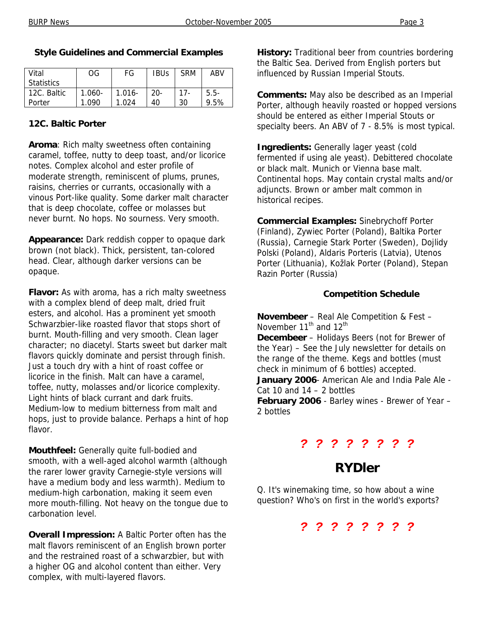| Vital             | OG        | FG        | <b>IBUs</b> | <b>SRM</b> | ABV     |
|-------------------|-----------|-----------|-------------|------------|---------|
| <b>Statistics</b> |           |           |             |            |         |
| 12C. Baltic       | $1.060 -$ | $1.016 -$ | $20 -$      | $17 -$     | $5.5-$  |
| Porter            | 1.090     | 1.024     | 40          | 30         | $9.5\%$ |

#### **Style Guidelines and Commercial Examples**

#### **12C. Baltic Porter**

**Aroma**: Rich malty sweetness often containing caramel, toffee, nutty to deep toast, and/or licorice notes. Complex alcohol and ester profile of moderate strength, reminiscent of plums, prunes, raisins, cherries or currants, occasionally with a vinous Port-like quality. Some darker malt character that is deep chocolate, coffee or molasses but never burnt. No hops. No sourness. Very smooth.

**Appearance:** Dark reddish copper to opaque dark brown (not black). Thick, persistent, tan-colored head. Clear, although darker versions can be opaque.

**Flavor:** As with aroma, has a rich malty sweetness with a complex blend of deep malt, dried fruit esters, and alcohol. Has a prominent yet smooth Schwarzbier-like roasted flavor that stops short of burnt. Mouth-filling and very smooth. Clean lager character; no diacetyl. Starts sweet but darker malt flavors quickly dominate and persist through finish. Just a touch dry with a hint of roast coffee or licorice in the finish. Malt can have a caramel, toffee, nutty, molasses and/or licorice complexity. Light hints of black currant and dark fruits. Medium-low to medium bitterness from malt and hops, just to provide balance. Perhaps a hint of hop flavor.

**Mouthfeel:** Generally quite full-bodied and smooth, with a well-aged alcohol warmth (although the rarer lower gravity Carnegie-style versions will have a medium body and less warmth). Medium to medium-high carbonation, making it seem even more mouth-filling. Not heavy on the tongue due to carbonation level.

**Overall Impression:** A Baltic Porter often has the malt flavors reminiscent of an English brown porter and the restrained roast of a schwarzbier, but with a higher OG and alcohol content than either. Very complex, with multi-layered flavors.

**History:** Traditional beer from countries bordering the Baltic Sea. Derived from English porters but influenced by Russian Imperial Stouts.

**Comments:** May also be described as an Imperial Porter, although heavily roasted or hopped versions should be entered as either Imperial Stouts or specialty beers. An ABV of 7 - 8.5% is most typical.

**Ingredients:** Generally lager yeast (cold fermented if using ale yeast). Debittered chocolate or black malt. Munich or Vienna base malt. Continental hops. May contain crystal malts and/or adjuncts. Brown or amber malt common in historical recipes.

**Commercial Examples:** Sinebrychoff Porter (Finland), Zywiec Porter (Poland), Baltika Porter (Russia), Carnegie Stark Porter (Sweden), Dojlidy Polski (Poland), Aldaris Porteris (Latvia), Utenos Porter (Lithuania), Kožlak Porter (Poland), Stepan Razin Porter (Russia)

#### **Competition Schedule**

**Novembeer** – Real Ale Competition & Fest – November  $11^{th}$  and  $12^{th}$ 

**Decembeer** – Holidays Beers (not for Brewer of the Year) – See the July newsletter for details on the range of the theme. Kegs and bottles (must check in minimum of 6 bottles) accepted.

**January 2006**- American Ale and India Pale Ale - Cat 10 and  $14 - 2$  bottles

**February 2006** - Barley wines - Brewer of Year – 2 bottles

#### *? ? ? ? ? ? ? ?*

## **RYDler**

Q. It's winemaking time, so how about a wine question? Who's on first in the world's exports?

*? ? ? ? ? ? ? ?*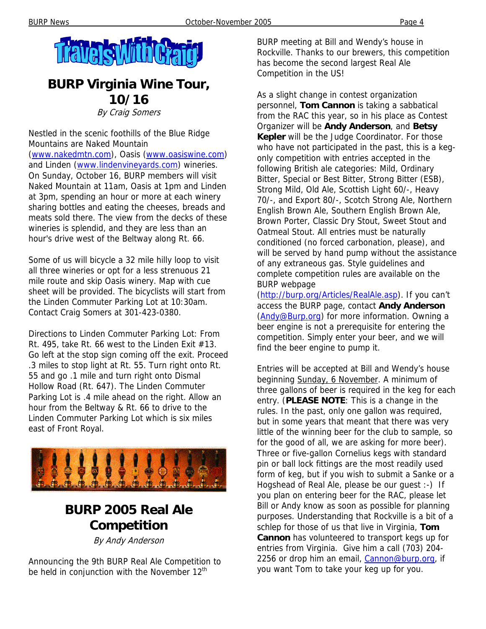

## **BURP Virginia Wine Tour, 10/16**

By Craig Somers

Nestled in the scenic foothills of the Blue Ridge Mountains are Naked Mountain (www.nakedmtn.com), Oasis (www.oasiswine.com) and Linden (www.lindenvineyards.com) wineries. On Sunday, October 16, BURP members will visit Naked Mountain at 11am, Oasis at 1pm and Linden at 3pm, spending an hour or more at each winery sharing bottles and eating the cheeses, breads and meats sold there. The view from the decks of these wineries is splendid, and they are less than an hour's drive west of the Beltway along Rt. 66.

Some of us will bicycle a 32 mile hilly loop to visit all three wineries or opt for a less strenuous 21 mile route and skip Oasis winery. Map with cue sheet will be provided. The bicyclists will start from the Linden Commuter Parking Lot at 10:30am. Contact Craig Somers at 301-423-0380.

Directions to Linden Commuter Parking Lot: From Rt. 495, take Rt. 66 west to the Linden Exit  $#13$ . Go left at the stop sign coming off the exit. Proceed .3 miles to stop light at Rt. 55. Turn right onto Rt. 55 and go .1 mile and turn right onto Dismal Hollow Road (Rt. 647). The Linden Commuter Parking Lot is .4 mile ahead on the right. Allow an hour from the Beltway & Rt. 66 to drive to the Linden Commuter Parking Lot which is six miles east of Front Royal.



## **BURP 2005 Real Ale Competition**

By Andy Anderson

Announcing the 9th BURP Real Ale Competition to be held in conjunction with the November 12<sup>th</sup>

BURP meeting at Bill and Wendy's house in Rockville. Thanks to our brewers, this competition has become the second largest Real Ale Competition in the US!

As a slight change in contest organization personnel, **Tom Cannon** is taking a sabbatical from the RAC this year, so in his place as Contest Organizer will be **Andy Anderson**, and **Betsy Kepler** will be the Judge Coordinator. For those who have not participated in the past, this is a kegonly competition with entries accepted in the following British ale categories: Mild, Ordinary Bitter, Special or Best Bitter, Strong Bitter (ESB), Strong Mild, Old Ale, Scottish Light 60/-, Heavy 70/-, and Export 80/-, Scotch Strong Ale, Northern English Brown Ale, Southern English Brown Ale, Brown Porter, Classic Dry Stout, Sweet Stout and Oatmeal Stout. All entries must be naturally conditioned (no forced carbonation, please), and will be served by hand pump without the assistance of any extraneous gas. Style guidelines and complete competition rules are available on the BURP webpage

(http://burp.org/Articles/RealAle.asp). If you can't access the BURP page, contact **Andy Anderson** (Andy@Burp.org) for more information. Owning a beer engine is not a prerequisite for entering the competition. Simply enter your beer, and we will find the beer engine to pump it.

Entries will be accepted at Bill and Wendy's house beginning Sunday, 6 November. A minimum of three gallons of beer is required in the keg for each entry. (**PLEASE NOTE**: This is a change in the rules. In the past, only one gallon was required, but in some years that meant that there was very little of the winning beer for the club to sample, so for the good of all, we are asking for more beer). Three or five-gallon Cornelius kegs with standard pin or ball lock fittings are the most readily used form of keg, but if you wish to submit a Sanke or a Hogshead of Real Ale, please be our guest :-) If you plan on entering beer for the RAC, please let Bill or Andy know as soon as possible for planning purposes. Understanding that Rockville is a bit of a schlep for those of us that live in Virginia, **Tom Cannon** has volunteered to transport kegs up for entries from Virginia. Give him a call (703) 204- 2256 or drop him an email, Cannon@burp.org, if you want Tom to take your keg up for you.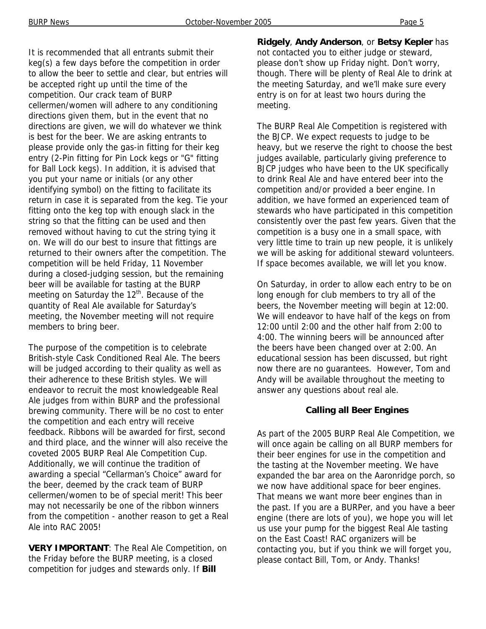It is recommended that all entrants submit their keg(s) a few days before the competition in order to allow the beer to settle and clear, but entries will be accepted right up until the time of the competition. Our crack team of BURP cellermen/women will adhere to any conditioning directions given them, but in the event that no directions are given, we will do whatever we think is best for the beer. We are asking entrants to please provide only the gas-in fitting for their keg entry (2-Pin fitting for Pin Lock kegs or "G" fitting for Ball Lock kegs). In addition, it is advised that you put your name or initials (or any other identifying symbol) on the fitting to facilitate its return in case it is separated from the keg. Tie your fitting onto the keg top with enough slack in the string so that the fitting can be used and then removed without having to cut the string tying it on. We will do our best to insure that fittings are returned to their owners after the competition. The competition will be held Friday, 11 November during a closed-judging session, but the remaining beer will be available for tasting at the BURP meeting on Saturday the 12<sup>th</sup>. Because of the quantity of Real Ale available for Saturday's meeting, the November meeting will not require members to bring beer.

The purpose of the competition is to celebrate British-style Cask Conditioned Real Ale. The beers will be judged according to their quality as well as their adherence to these British styles. We will endeavor to recruit the most knowledgeable Real Ale judges from within BURP and the professional brewing community. There will be no cost to enter the competition and each entry will receive feedback. Ribbons will be awarded for first, second and third place, and the winner will also receive the coveted 2005 BURP Real Ale Competition Cup. Additionally, we will continue the tradition of awarding a special "Cellarman's Choice" award for the beer, deemed by the crack team of BURP cellermen/women to be of special merit! This beer may not necessarily be one of the ribbon winners from the competition - another reason to get a Real Ale into RAC 2005!

**VERY IMPORTANT**: The Real Ale Competition, on the Friday before the BURP meeting, is a closed competition for judges and stewards only. If **Bill** 

**Ridgely**, **Andy Anderson**, or **Betsy Kepler** has not contacted you to either judge or steward, please don't show up Friday night. Don't worry, though. There will be plenty of Real Ale to drink at the meeting Saturday, and we'll make sure every entry is on for at least two hours during the meeting.

The BURP Real Ale Competition is registered with the BJCP. We expect requests to judge to be heavy, but we reserve the right to choose the best judges available, particularly giving preference to BJCP judges who have been to the UK specifically to drink Real Ale and have entered beer into the competition and/or provided a beer engine. In addition, we have formed an experienced team of stewards who have participated in this competition consistently over the past few years. Given that the competition is a busy one in a small space, with very little time to train up new people, it is unlikely we will be asking for additional steward volunteers. If space becomes available, we will let you know.

On Saturday, in order to allow each entry to be on long enough for club members to try all of the beers, the November meeting will begin at 12:00. We will endeavor to have half of the kegs on from 12:00 until 2:00 and the other half from 2:00 to 4:00. The winning beers will be announced after the beers have been changed over at 2:00. An educational session has been discussed, but right now there are no guarantees. However, Tom and Andy will be available throughout the meeting to answer any questions about real ale.

#### **Calling all Beer Engines**

As part of the 2005 BURP Real Ale Competition, we will once again be calling on all BURP members for their beer engines for use in the competition and the tasting at the November meeting. We have expanded the bar area on the Aaronridge porch, so we now have additional space for beer engines. That means we want more beer engines than in the past. If you are a BURPer, and you have a beer engine (there are lots of you), we hope you will let us use your pump for the biggest Real Ale tasting on the East Coast! RAC organizers will be contacting you, but if you think we will forget you, please contact Bill, Tom, or Andy. Thanks!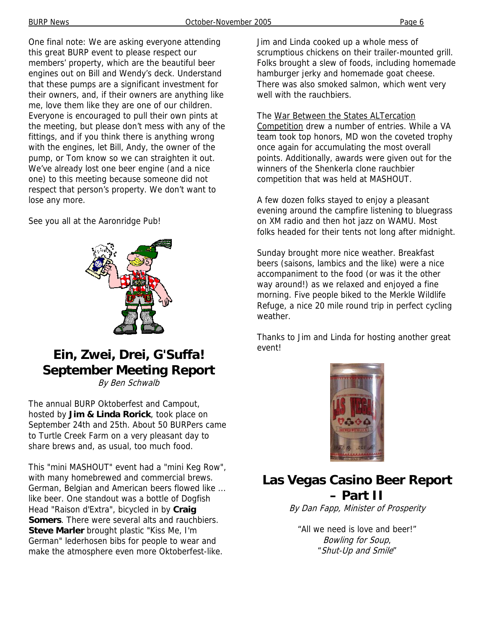One final note: We are asking everyone attending this great BURP event to please respect our members' property, which are the beautiful beer engines out on Bill and Wendy's deck. Understand that these pumps are a significant investment for their owners, and, if their owners are anything like me, love them like they are one of our children. Everyone is encouraged to pull their own pints at the meeting, but please don't mess with any of the fittings, and if you think there is anything wrong with the engines, let Bill, Andy, the owner of the pump, or Tom know so we can straighten it out. We've already lost one beer engine (and a nice one) to this meeting because someone did not respect that person's property. We don't want to lose any more.

See you all at the Aaronridge Pub!



## **Ein, Zwei, Drei, G'Suffa! September Meeting Report**

By Ben Schwalb

The annual BURP Oktoberfest and Campout, hosted by **Jim & Linda Rorick**, took place on September 24th and 25th. About 50 BURPers came to Turtle Creek Farm on a very pleasant day to share brews and, as usual, too much food.

This "mini MASHOUT" event had a "mini Keg Row", with many homebrewed and commercial brews. German, Belgian and American beers flowed like ... like beer. One standout was a bottle of Dogfish Head "Raison d'Extra", bicycled in by **Craig Somers**. There were several alts and rauchbiers. **Steve Marler** brought plastic "Kiss Me, I'm German" lederhosen bibs for people to wear and make the atmosphere even more Oktoberfest-like.

Jim and Linda cooked up a whole mess of scrumptious chickens on their trailer-mounted grill. Folks brought a slew of foods, including homemade hamburger jerky and homemade goat cheese. There was also smoked salmon, which went very well with the rauchbiers.

The War Between the States ALTercation Competition drew a number of entries. While a VA team took top honors, MD won the coveted trophy once again for accumulating the most overall points. Additionally, awards were given out for the winners of the Shenkerla clone rauchbier competition that was held at MASHOUT.

A few dozen folks stayed to enjoy a pleasant evening around the campfire listening to bluegrass on XM radio and then hot jazz on WAMU. Most folks headed for their tents not long after midnight.

Sunday brought more nice weather. Breakfast beers (saisons, lambics and the like) were a nice accompaniment to the food (or was it the other way around!) as we relaxed and enjoyed a fine morning. Five people biked to the Merkle Wildlife Refuge, a nice 20 mile round trip in perfect cycling weather.

Thanks to Jim and Linda for hosting another great event!



## **Las Vegas Casino Beer Report – Part II**

By Dan Fapp, Minister of Prosperity

"All we need is love and beer!" Bowling for Soup, "Shut-Up and Smile"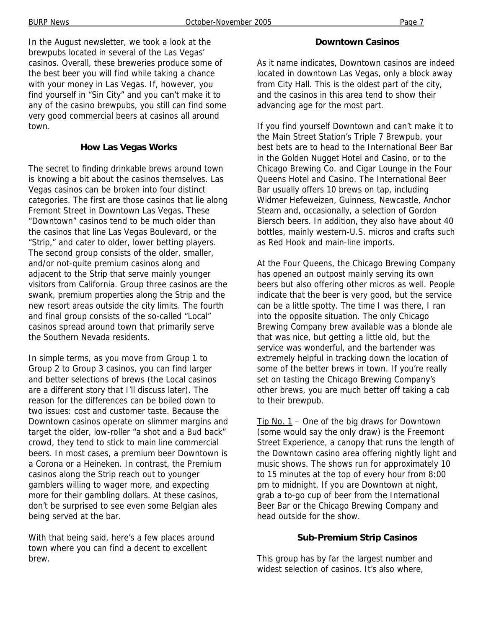In the August newsletter, we took a look at the brewpubs located in several of the Las Vegas' casinos. Overall, these breweries produce some of the best beer you will find while taking a chance with your money in Las Vegas. If, however, you find yourself in "Sin City" and you can't make it to any of the casino brewpubs, you still can find some very good commercial beers at casinos all around town.

#### **How Las Vegas Works**

The secret to finding drinkable brews around town is knowing a bit about the casinos themselves. Las Vegas casinos can be broken into four distinct categories. The first are those casinos that lie along Fremont Street in Downtown Las Vegas. These "Downtown" casinos tend to be much older than the casinos that line Las Vegas Boulevard, or the "Strip," and cater to older, lower betting players. The second group consists of the older, smaller, and/or not-quite premium casinos along and adjacent to the Strip that serve mainly younger visitors from California. Group three casinos are the swank, premium properties along the Strip and the new resort areas outside the city limits. The fourth and final group consists of the so-called "Local" casinos spread around town that primarily serve the Southern Nevada residents.

In simple terms, as you move from Group 1 to Group 2 to Group 3 casinos, you can find larger and better selections of brews (the Local casinos are a different story that I'll discuss later). The reason for the differences can be boiled down to two issues: cost and customer taste. Because the Downtown casinos operate on slimmer margins and target the older, low-roller "a shot and a Bud back" crowd, they tend to stick to main line commercial beers. In most cases, a premium beer Downtown is a Corona or a Heineken. In contrast, the Premium casinos along the Strip reach out to younger gamblers willing to wager more, and expecting more for their gambling dollars. At these casinos, don't be surprised to see even some Belgian ales being served at the bar.

With that being said, here's a few places around town where you can find a decent to excellent brew.

#### **Downtown Casinos**

As it name indicates, Downtown casinos are indeed located in downtown Las Vegas, only a block away from City Hall. This is the oldest part of the city, and the casinos in this area tend to show their advancing age for the most part.

If you find yourself Downtown and can't make it to the Main Street Station's Triple 7 Brewpub, your best bets are to head to the International Beer Bar in the Golden Nugget Hotel and Casino, or to the Chicago Brewing Co. and Cigar Lounge in the Four Queens Hotel and Casino. The International Beer Bar usually offers 10 brews on tap, including Widmer Hefeweizen, Guinness, Newcastle, Anchor Steam and, occasionally, a selection of Gordon Biersch beers. In addition, they also have about 40 bottles, mainly western-U.S. micros and crafts such as Red Hook and main-line imports.

At the Four Queens, the Chicago Brewing Company has opened an outpost mainly serving its own beers but also offering other micros as well. People indicate that the beer is very good, but the service can be a little spotty. The time I was there, I ran into the opposite situation. The only Chicago Brewing Company brew available was a blonde ale that was nice, but getting a little old, but the service was wonderful, and the bartender was extremely helpful in tracking down the location of some of the better brews in town. If you're really set on tasting the Chicago Brewing Company's other brews, you are much better off taking a cab to their brewpub.

Tip No.  $1$  – One of the big draws for Downtown (some would say the only draw) is the Freemont Street Experience, a canopy that runs the length of the Downtown casino area offering nightly light and music shows. The shows run for approximately 10 to 15 minutes at the top of every hour from 8:00 pm to midnight. If you are Downtown at night, grab a to-go cup of beer from the International Beer Bar or the Chicago Brewing Company and head outside for the show.

#### **Sub-Premium Strip Casinos**

This group has by far the largest number and widest selection of casinos. It's also where,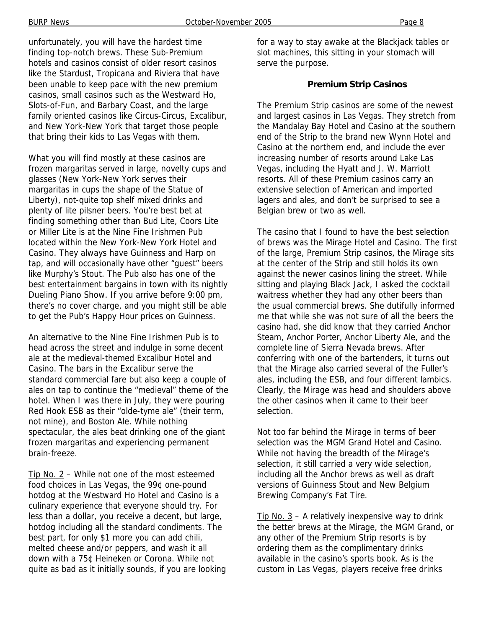unfortunately, you will have the hardest time finding top-notch brews. These Sub-Premium hotels and casinos consist of older resort casinos like the Stardust, Tropicana and Riviera that have been unable to keep pace with the new premium casinos, small casinos such as the Westward Ho, Slots-of-Fun, and Barbary Coast, and the large family oriented casinos like Circus-Circus, Excalibur, and New York-New York that target those people that bring their kids to Las Vegas with them.

What you will find mostly at these casinos are frozen margaritas served in large, novelty cups and glasses (New York-New York serves their margaritas in cups the shape of the Statue of Liberty), not-quite top shelf mixed drinks and plenty of lite pilsner beers. You're best bet at finding something other than Bud Lite, Coors Lite or Miller Lite is at the Nine Fine Irishmen Pub located within the New York-New York Hotel and Casino. They always have Guinness and Harp on tap, and will occasionally have other "guest" beers like Murphy's Stout. The Pub also has one of the best entertainment bargains in town with its nightly Dueling Piano Show. If you arrive before 9:00 pm, there's no cover charge, and you might still be able to get the Pub's Happy Hour prices on Guinness.

An alternative to the Nine Fine Irishmen Pub is to head across the street and indulge in some decent ale at the medieval-themed Excalibur Hotel and Casino. The bars in the Excalibur serve the standard commercial fare but also keep a couple of ales on tap to continue the "medieval" theme of the hotel. When I was there in July, they were pouring Red Hook ESB as their "olde-tyme ale" (their term, not mine), and Boston Ale. While nothing spectacular, the ales beat drinking one of the giant frozen margaritas and experiencing permanent brain-freeze.

Tip No. 2 – While not one of the most esteemed food choices in Las Vegas, the 99¢ one-pound hotdog at the Westward Ho Hotel and Casino is a culinary experience that everyone should try. For less than a dollar, you receive a decent, but large, hotdog including all the standard condiments. The best part, for only \$1 more you can add chili, melted cheese and/or peppers, and wash it all down with a 75¢ Heineken or Corona. While not quite as bad as it initially sounds, if you are looking for a way to stay awake at the Blackjack tables or slot machines, this sitting in your stomach will serve the purpose.

#### **Premium Strip Casinos**

The Premium Strip casinos are some of the newest and largest casinos in Las Vegas. They stretch from the Mandalay Bay Hotel and Casino at the southern end of the Strip to the brand new Wynn Hotel and Casino at the northern end, and include the ever increasing number of resorts around Lake Las Vegas, including the Hyatt and J. W. Marriott resorts. All of these Premium casinos carry an extensive selection of American and imported lagers and ales, and don't be surprised to see a Belgian brew or two as well.

The casino that I found to have the best selection of brews was the Mirage Hotel and Casino. The first of the large, Premium Strip casinos, the Mirage sits at the center of the Strip and still holds its own against the newer casinos lining the street. While sitting and playing Black Jack, I asked the cocktail waitress whether they had any other beers than the usual commercial brews. She dutifully informed me that while she was not sure of all the beers the casino had, she did know that they carried Anchor Steam, Anchor Porter, Anchor Liberty Ale, and the complete line of Sierra Nevada brews. After conferring with one of the bartenders, it turns out that the Mirage also carried several of the Fuller's ales, including the ESB, and four different lambics. Clearly, the Mirage was head and shoulders above the other casinos when it came to their beer selection.

Not too far behind the Mirage in terms of beer selection was the MGM Grand Hotel and Casino. While not having the breadth of the Mirage's selection, it still carried a very wide selection, including all the Anchor brews as well as draft versions of Guinness Stout and New Belgium Brewing Company's Fat Tire.

Tip No.  $3 - A$  relatively inexpensive way to drink the better brews at the Mirage, the MGM Grand, or any other of the Premium Strip resorts is by ordering them as the complimentary drinks available in the casino's sports book. As is the custom in Las Vegas, players receive free drinks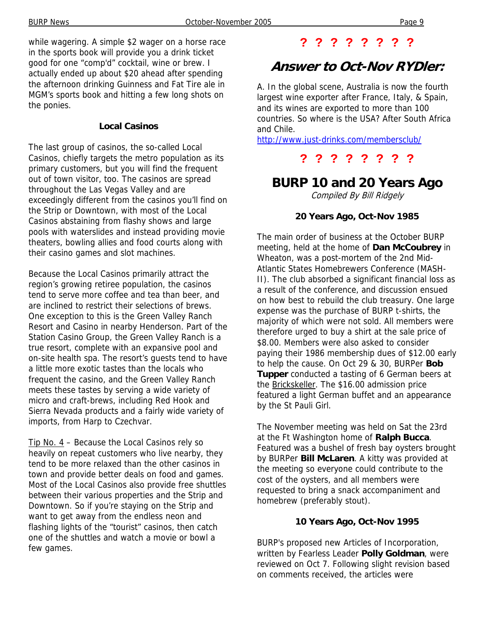while wagering. A simple \$2 wager on a horse race in the sports book will provide you a drink ticket good for one "comp'd" cocktail, wine or brew. I actually ended up about \$20 ahead after spending the afternoon drinking Guinness and Fat Tire ale in MGM's sports book and hitting a few long shots on the ponies.

#### **Local Casinos**

The last group of casinos, the so-called Local Casinos, chiefly targets the metro population as its primary customers, but you will find the frequent out of town visitor, too. The casinos are spread throughout the Las Vegas Valley and are exceedingly different from the casinos you'll find on the Strip or Downtown, with most of the Local Casinos abstaining from flashy shows and large pools with waterslides and instead providing movie theaters, bowling allies and food courts along with their casino games and slot machines.

Because the Local Casinos primarily attract the region's growing retiree population, the casinos tend to serve more coffee and tea than beer, and are inclined to restrict their selections of brews. One exception to this is the Green Valley Ranch Resort and Casino in nearby Henderson. Part of the Station Casino Group, the Green Valley Ranch is a true resort, complete with an expansive pool and on-site health spa. The resort's guests tend to have a little more exotic tastes than the locals who frequent the casino, and the Green Valley Ranch meets these tastes by serving a wide variety of micro and craft-brews, including Red Hook and Sierra Nevada products and a fairly wide variety of imports, from Harp to Czechvar.

Tip No. 4 - Because the Local Casinos rely so heavily on repeat customers who live nearby, they tend to be more relaxed than the other casinos in town and provide better deals on food and games. Most of the Local Casinos also provide free shuttles between their various properties and the Strip and Downtown. So if you're staying on the Strip and want to get away from the endless neon and flashing lights of the "tourist" casinos, then catch one of the shuttles and watch a movie or bowl a few games.

#### **? ? ? ? ? ? ? ?**

## **Answer to Oct-Nov RYDler:**

A. In the global scene, Australia is now the fourth largest wine exporter after France, Italy, & Spain, and its wines are exported to more than 100 countries. So where is the USA? After South Africa and Chile.

http://www.just-drinks.com/membersclub/

### **? ? ? ? ? ? ? ?**

## **BURP 10 and 20 Years Ago**

Compiled By Bill Ridgely

#### **20 Years Ago, Oct-Nov 1985**

The main order of business at the October BURP meeting, held at the home of **Dan McCoubrey** in Wheaton, was a post-mortem of the 2nd Mid-Atlantic States Homebrewers Conference (MASH-II). The club absorbed a significant financial loss as a result of the conference, and discussion ensued on how best to rebuild the club treasury. One large expense was the purchase of BURP t-shirts, the majority of which were not sold. All members were therefore urged to buy a shirt at the sale price of \$8.00. Members were also asked to consider paying their 1986 membership dues of \$12.00 early to help the cause. On Oct 29 & 30, BURPer **Bob Tupper** conducted a tasting of 6 German beers at the Brickskeller. The \$16.00 admission price featured a light German buffet and an appearance by the St Pauli Girl.

The November meeting was held on Sat the 23rd at the Ft Washington home of **Ralph Bucca**. Featured was a bushel of fresh bay oysters brought by BURPer **Bill McLaren**. A kitty was provided at the meeting so everyone could contribute to the cost of the oysters, and all members were requested to bring a snack accompaniment and homebrew (preferably stout).

#### **10 Years Ago, Oct-Nov 1995**

BURP's proposed new Articles of Incorporation, written by Fearless Leader **Polly Goldman**, were reviewed on Oct 7. Following slight revision based on comments received, the articles were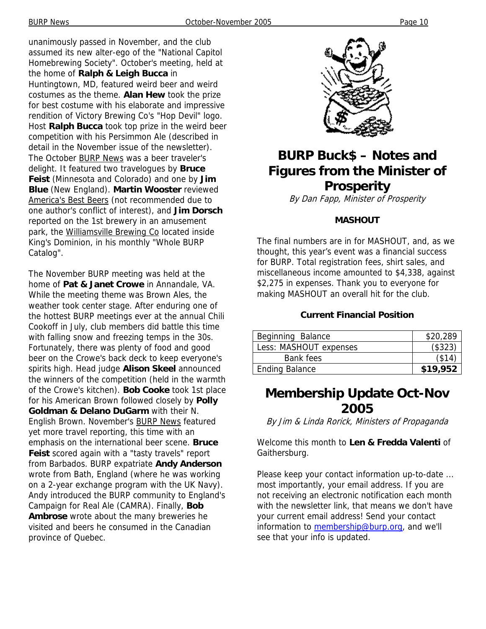unanimously passed in November, and the club assumed its new alter-ego of the "National Capitol Homebrewing Society". October's meeting, held at the home of **Ralph & Leigh Bucca** in Huntingtown, MD, featured weird beer and weird costumes as the theme. **Alan Hew** took the prize for best costume with his elaborate and impressive rendition of Victory Brewing Co's "Hop Devil" logo. Host **Ralph Bucca** took top prize in the weird beer competition with his Persimmon Ale (described in detail in the November issue of the newsletter). The October BURP News was a beer traveler's delight. It featured two travelogues by **Bruce Feist** (Minnesota and Colorado) and one by **Jim Blue** (New England). **Martin Wooster** reviewed America's Best Beers (not recommended due to one author's conflict of interest), and **Jim Dorsch** reported on the 1st brewery in an amusement park, the Williamsville Brewing Co located inside King's Dominion, in his monthly "Whole BURP Catalog".

The November BURP meeting was held at the home of **Pat & Janet Crowe** in Annandale, VA. While the meeting theme was Brown Ales, the weather took center stage. After enduring one of the hottest BURP meetings ever at the annual Chili Cookoff in July, club members did battle this time with falling snow and freezing temps in the 30s. Fortunately, there was plenty of food and good beer on the Crowe's back deck to keep everyone's spirits high. Head judge **Alison Skeel** announced the winners of the competition (held in the warmth of the Crowe's kitchen). **Bob Cooke** took 1st place for his American Brown followed closely by **Polly Goldman & Delano DuGarm** with their N. English Brown. November's BURP News featured yet more travel reporting, this time with an emphasis on the international beer scene. **Bruce Feist** scored again with a "tasty travels" report from Barbados. BURP expatriate **Andy Anderson** wrote from Bath, England (where he was working on a 2-year exchange program with the UK Navy). Andy introduced the BURP community to England's Campaign for Real Ale (CAMRA). Finally, **Bob Ambrose** wrote about the many breweries he visited and beers he consumed in the Canadian province of Quebec.



## **BURP Buck\$ – Notes and Figures from the Minister of Prosperity**

By Dan Fapp, Minister of Prosperity

#### **MASHOUT**

The final numbers are in for MASHOUT, and, as we thought, this year's event was a financial success for BURP. Total registration fees, shirt sales, and miscellaneous income amounted to \$4,338, against \$2,275 in expenses. Thank you to everyone for making MASHOUT an overall hit for the club.

#### **Current Financial Position**

| Beginning Balance      | \$20,289 |
|------------------------|----------|
| Less: MASHOUT expenses | (\$323)  |
| Bank fees              | (\$14)   |
| <b>Ending Balance</b>  | \$19,952 |

## **Membership Update Oct-Nov 2005**

By Jim & Linda Rorick, Ministers of Propaganda

Welcome this month to **Len & Fredda Valenti** of Gaithersburg.

Please keep your contact information up-to-date ... most importantly, your email address. If you are not receiving an electronic notification each month with the newsletter link, that means we don't have your current email address! Send your contact information to membership@burp.org, and we'll see that your info is updated.